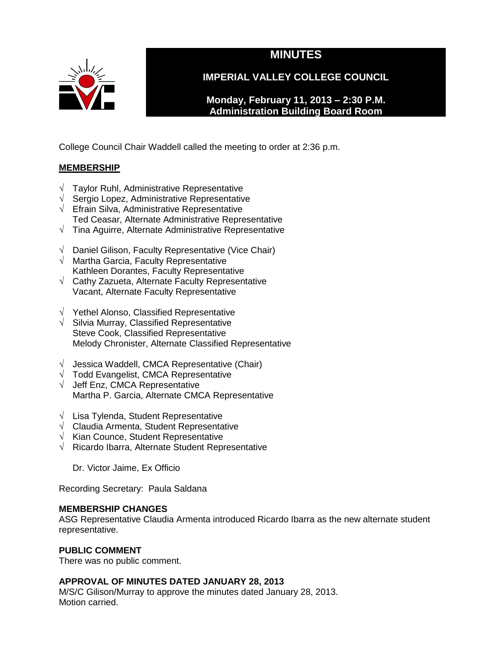

# **MINUTES**

**IMPERIAL VALLEY COLLEGE COUNCIL**

**Monday, February 11, 2013 – 2:30 P.M. Administration Building Board Room** 

College Council Chair Waddell called the meeting to order at 2:36 p.m.

# **MEMBERSHIP**

- √ Taylor Ruhl, Administrative Representative
- √ Sergio Lopez, Administrative Representative
- √ Efrain Silva, Administrative Representative Ted Ceasar, Alternate Administrative Representative
- √ Tina Aguirre, Alternate Administrative Representative
- √ Daniel Gilison, Faculty Representative (Vice Chair)
- $\sqrt{ }$  Martha Garcia, Faculty Representative Kathleen Dorantes, Faculty Representative
- √ Cathy Zazueta, Alternate Faculty Representative Vacant, Alternate Faculty Representative
- √ Yethel Alonso, Classified Representative
- $\sqrt{\phantom{a}}$  Silvia Murray, Classified Representative Steve Cook, Classified Representative Melody Chronister, Alternate Classified Representative
- $\sqrt{\phantom{a}}$  Jessica Waddell, CMCA Representative (Chair)
- $\sqrt{\phantom{a}}$  Todd Evangelist, CMCA Representative
- √ Jeff Enz, CMCA Representative Martha P. Garcia, Alternate CMCA Representative
- √ Lisa Tylenda, Student Representative
- √ Claudia Armenta, Student Representative
- √ Kian Counce, Student Representative
- √ Ricardo Ibarra, Alternate Student Representative

Dr. Victor Jaime, Ex Officio

Recording Secretary: Paula Saldana

### **MEMBERSHIP CHANGES**

ASG Representative Claudia Armenta introduced Ricardo Ibarra as the new alternate student representative.

# **PUBLIC COMMENT**

There was no public comment.

# **APPROVAL OF MINUTES DATED JANUARY 28, 2013**

M/S/C Gilison/Murray to approve the minutes dated January 28, 2013. Motion carried.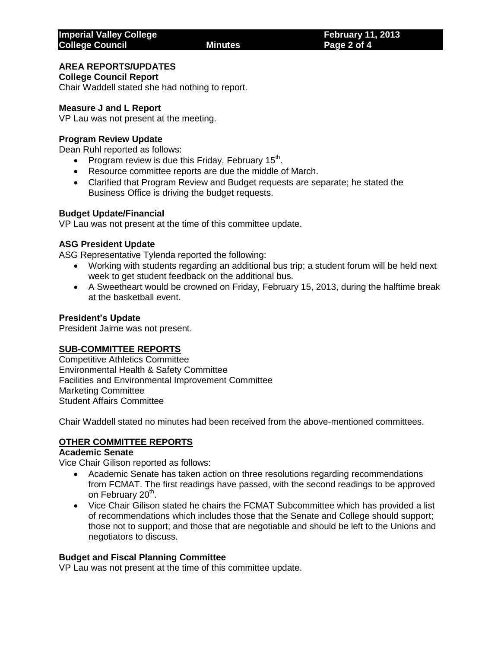# **AREA REPORTS/UPDATES**

**College Council Report**

Chair Waddell stated she had nothing to report.

# **Measure J and L Report**

VP Lau was not present at the meeting.

#### **Program Review Update**

Dean Ruhl reported as follows:

- Program review is due this Friday, February 15<sup>th</sup>.
- Resource committee reports are due the middle of March.
- Clarified that Program Review and Budget requests are separate; he stated the Business Office is driving the budget requests.

#### **Budget Update/Financial**

VP Lau was not present at the time of this committee update.

#### **ASG President Update**

ASG Representative Tylenda reported the following:

- Working with students regarding an additional bus trip; a student forum will be held next week to get student feedback on the additional bus.
- A Sweetheart would be crowned on Friday, February 15, 2013, during the halftime break at the basketball event.

#### **President's Update**

President Jaime was not present.

#### **SUB-COMMITTEE REPORTS**

Competitive Athletics Committee Environmental Health & Safety Committee Facilities and Environmental Improvement Committee Marketing Committee Student Affairs Committee

Chair Waddell stated no minutes had been received from the above-mentioned committees.

#### **OTHER COMMITTEE REPORTS**

#### **Academic Senate**

Vice Chair Gilison reported as follows:

- Academic Senate has taken action on three resolutions regarding recommendations from FCMAT. The first readings have passed, with the second readings to be approved on February 20<sup>th</sup>.
- Vice Chair Gilison stated he chairs the FCMAT Subcommittee which has provided a list of recommendations which includes those that the Senate and College should support; those not to support; and those that are negotiable and should be left to the Unions and negotiators to discuss.

#### **Budget and Fiscal Planning Committee**

VP Lau was not present at the time of this committee update.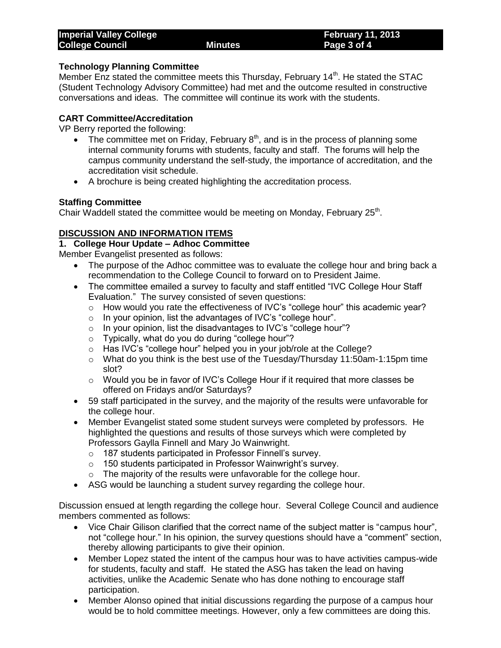### **Technology Planning Committee**

Member Enz stated the committee meets this Thursday, February 14<sup>th</sup>. He stated the STAC (Student Technology Advisory Committee) had met and the outcome resulted in constructive conversations and ideas. The committee will continue its work with the students.

# **CART Committee/Accreditation**

VP Berry reported the following:

- The committee met on Friday, February  $8<sup>th</sup>$ , and is in the process of planning some internal community forums with students, faculty and staff. The forums will help the campus community understand the self-study, the importance of accreditation, and the accreditation visit schedule.
- A brochure is being created highlighting the accreditation process.

# **Staffing Committee**

Chair Waddell stated the committee would be meeting on Monday, February 25<sup>th</sup>.

# **DISCUSSION AND INFORMATION ITEMS**

### **1. College Hour Update – Adhoc Committee**

Member Evangelist presented as follows:

- The purpose of the Adhoc committee was to evaluate the college hour and bring back a recommendation to the College Council to forward on to President Jaime.
- The committee emailed a survey to faculty and staff entitled "IVC College Hour Staff Evaluation." The survey consisted of seven questions:
	- $\circ$  How would you rate the effectiveness of IVC's "college hour" this academic year?
	- o In your opinion, list the advantages of IVC's "college hour".
	- o In your opinion, list the disadvantages to IVC's "college hour"?
	- o Typically, what do you do during "college hour"?
	- o Has IVC's "college hour" helped you in your job/role at the College?
	- o What do you think is the best use of the Tuesday/Thursday 11:50am-1:15pm time slot?
	- $\circ$  Would you be in favor of IVC's College Hour if it required that more classes be offered on Fridays and/or Saturdays?
- 59 staff participated in the survey, and the majority of the results were unfavorable for the college hour.
- Member Evangelist stated some student surveys were completed by professors. He highlighted the questions and results of those surveys which were completed by Professors Gaylla Finnell and Mary Jo Wainwright.
	- o 187 students participated in Professor Finnell's survey.
	- o 150 students participated in Professor Wainwright's survey.
	- o The majority of the results were unfavorable for the college hour.
- ASG would be launching a student survey regarding the college hour.

Discussion ensued at length regarding the college hour. Several College Council and audience members commented as follows:

- Vice Chair Gilison clarified that the correct name of the subject matter is "campus hour", not "college hour." In his opinion, the survey questions should have a "comment" section, thereby allowing participants to give their opinion.
- Member Lopez stated the intent of the campus hour was to have activities campus-wide for students, faculty and staff. He stated the ASG has taken the lead on having activities, unlike the Academic Senate who has done nothing to encourage staff participation.
- Member Alonso opined that initial discussions regarding the purpose of a campus hour would be to hold committee meetings. However, only a few committees are doing this.